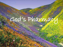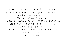It's been said that God first separated the salt water from the fresh, made dry land, planted a garden, made animals and fish... All before making a human. He made and provided what we'd need before we were born. These are best  $\xi$  more powerful when eaten raw. We're such slow learners... God left us a great clue as to what foods help what part of our body! God's Pharmacy! Amazing!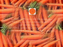

A sliced Carrot looks like the human eye. The pupil, iris and radiating lines look just like the human eye... And YES, science now shows carrots greatly enhance blood flow to and function of the eyes.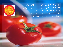

A Tomato has four chambers and is red. The heart has four chambers and is red. All of the research shows tomatoes are loaded with lycopine and are indeed pure heart and blood food.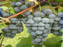Grapes hang in a cluster that has the shape of the heart. Each grape looks like a blood cell and all of the research today shows grapes are also profound heart and blood vitalizing food.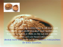

A Walnut looks like a little brain, a left and right hemisphere, upper cerebrums and lower cerebellums. Even the wrinkles or folds on the nut are just like the neo-cortex. We now know walnuts help develop more than three (3) dozen neuron-transmitters for brain function.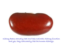

Kidney Beans actually heal and help maintain kidney function and yes, they look exactly like the human kidneys.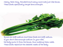## Celery, Bok Choy, Rhubarb and many more look just like bones. These foods specifically target bone strength.

Bones are 23% sodium and these foods are 23% sodium. If you don't have enough sodium in your diet, the body pulls it from the bones, thus making them weak. These foods replenish the skeletal needs of the body.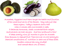

Avocadoes, Eggplant and Pears target the health and function of the womb and cervix of the female - they look just like these organs. Today's research shows that when a woman eats one avocado a week, it balances hormones, sheds unwanted birth weight, and prevents cervical cancers. And how profound is this? It takes exactly nine (9) months to grow an avocado from blossom to ripened fruit There are over 14,000 photolytic chemical constituents of nutrition in each one of these foods (modern science has only studied and named about 141 of them).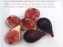Figs are full of seeds and hang in twos when they grow. Figs increase the mobility of male sperm and increase the numbers of Sperm as well to overcome male sterility.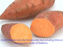Sweet Potatoes look like the pancreas and actually balance the glycemic index of diabetics.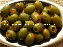## Olives assist the health and function of the ovaries.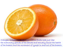Oranges, Grapefruits, and other Citrus fruits look just like the mammary glands of the female and actually assist the health of the breasts and the movement of lymph in and out of the breasts.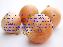Onions look like the body's cells. Today's research shows onions help clear waste materials from all of the body cells. They even produce tears which wash the epithelial layers of the eyes. A working companion, Garlic, also helps eliminate waste materials and dangerous free radicals from the body.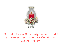

Please don't break this even if you only send it to one person. Look at the date when this was started. Thanks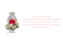

NOTICE AT THE END, THE DATE THE CANDLE WAS STARTED. GONNA GIVE YOU GOOSE BUMPS. I am not going to be the one who lets it die. I found it believable ---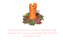

This candle was lit on the 15th of September, 1998. Someone who loves you has helped Keep it alive by sending it to you.